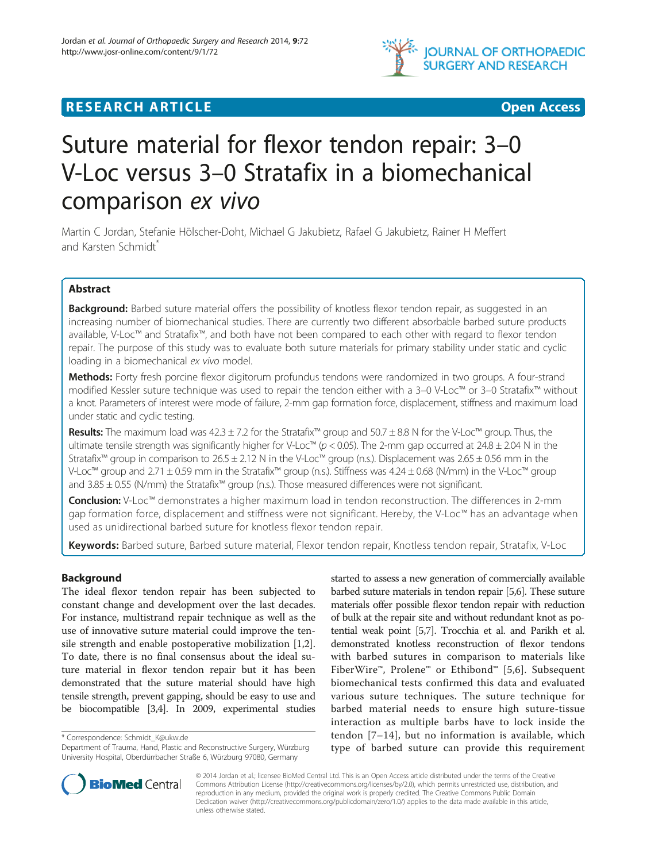

## **RESEARCH ARTICLE Example 2018 12:00 Department 2018 12:00 Department 2018 12:00 Department 2018 12:00 Department 2018 12:00 Department 2018 12:00 Department 2018 12:00 Department 2018 12:00 Department 2018 12:00 Departm**

# Suture material for flexor tendon repair: 3–0 V-Loc versus 3–0 Stratafix in a biomechanical comparison ex vivo

Martin C Jordan, Stefanie Hölscher-Doht, Michael G Jakubietz, Rafael G Jakubietz, Rainer H Meffert and Karsten Schmidt<sup>\*</sup>

## Abstract

Background: Barbed suture material offers the possibility of knotless flexor tendon repair, as suggested in an increasing number of biomechanical studies. There are currently two different absorbable barbed suture products available, V-Loc™ and Stratafix™, and both have not been compared to each other with regard to flexor tendon repair. The purpose of this study was to evaluate both suture materials for primary stability under static and cyclic loading in a biomechanical ex vivo model.

Methods: Forty fresh porcine flexor digitorum profundus tendons were randomized in two groups. A four-strand modified Kessler suture technique was used to repair the tendon either with a 3–0 V-Loc™ or 3–0 Stratafix™ without a knot. Parameters of interest were mode of failure, 2-mm gap formation force, displacement, stiffness and maximum load under static and cyclic testing.

Results: The maximum load was  $42.3 \pm 7.2$  for the Stratafix™ group and  $50.7 \pm 8.8$  N for the V-Loc™ group. Thus, the ultimate tensile strength was significantly higher for V-Loc™ ( $p$  < 0.05). The 2-mm gap occurred at 24.8 ± 2.04 N in the Stratafix™ group in comparison to 26.5 ± 2.12 N in the V-Loc™ group (n.s.). Displacement was 2.65 ± 0.56 mm in the V-Loc™ group and 2.71 ± 0.59 mm in the Stratafix™ group (n.s.). Stiffness was 4.24 ± 0.68 (N/mm) in the V-Loc™ group and 3.85 ± 0.55 (N/mm) the Stratafix™ group (n.s.). Those measured differences were not significant.

Conclusion: V-Loc<sup>™</sup> demonstrates a higher maximum load in tendon reconstruction. The differences in 2-mm gap formation force, displacement and stiffness were not significant. Hereby, the V-Loc™ has an advantage when used as unidirectional barbed suture for knotless flexor tendon repair.

Keywords: Barbed suture, Barbed suture material, Flexor tendon repair, Knotless tendon repair, Stratafix, V-Loc

## Background

The ideal flexor tendon repair has been subjected to constant change and development over the last decades. For instance, multistrand repair technique as well as the use of innovative suture material could improve the tensile strength and enable postoperative mobilization [\[1,2](#page-5-0)]. To date, there is no final consensus about the ideal suture material in flexor tendon repair but it has been demonstrated that the suture material should have high tensile strength, prevent gapping, should be easy to use and be biocompatible [[3,4\]](#page-5-0). In 2009, experimental studies

\* Correspondence: [Schmidt\\_K@ukw.de](mailto:Schmidt_K@ukw.de)

started to assess a new generation of commercially available barbed suture materials in tendon repair [[5,6](#page-5-0)]. These suture materials offer possible flexor tendon repair with reduction of bulk at the repair site and without redundant knot as potential weak point [\[5,7\]](#page-5-0). Trocchia et al. and Parikh et al. demonstrated knotless reconstruction of flexor tendons with barbed sutures in comparison to materials like FiberWire™, Prolene™ or Ethibond™ [[5,6](#page-5-0)]. Subsequent biomechanical tests confirmed this data and evaluated various suture techniques. The suture technique for barbed material needs to ensure high suture-tissue interaction as multiple barbs have to lock inside the tendon [[7](#page-5-0)–[14](#page-5-0)], but no information is available, which type of barbed suture can provide this requirement



© 2014 Jordan et al.; licensee BioMed Central Ltd. This is an Open Access article distributed under the terms of the Creative Commons Attribution License [\(http://creativecommons.org/licenses/by/2.0\)](http://creativecommons.org/licenses/by/2.0), which permits unrestricted use, distribution, and reproduction in any medium, provided the original work is properly credited. The Creative Commons Public Domain Dedication waiver [\(http://creativecommons.org/publicdomain/zero/1.0/](http://creativecommons.org/publicdomain/zero/1.0/)) applies to the data made available in this article, unless otherwise stated.

Department of Trauma, Hand, Plastic and Reconstructive Surgery, Würzburg University Hospital, Oberdürrbacher Straße 6, Würzburg 97080, Germany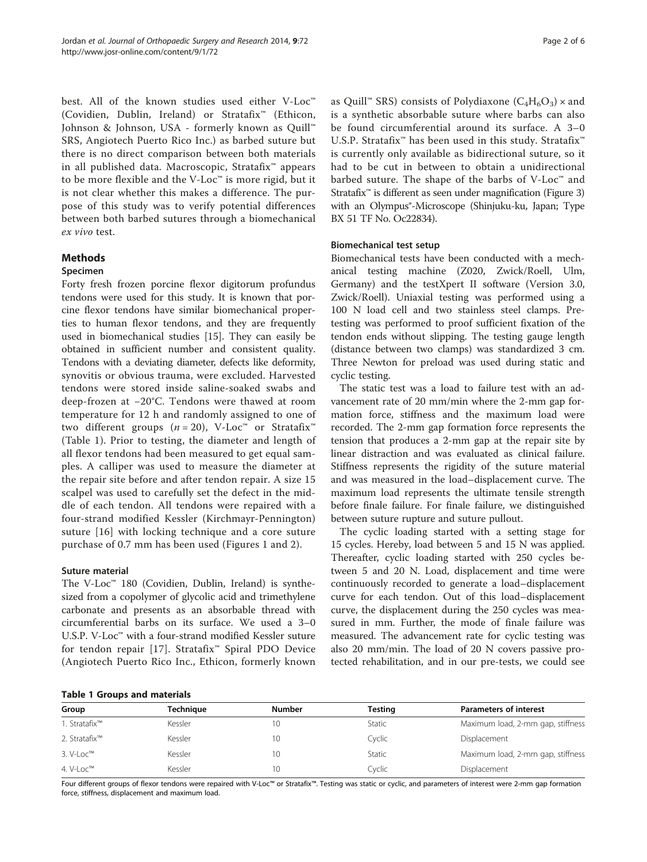<span id="page-1-0"></span>best. All of the known studies used either V-Loc™ (Covidien, Dublin, Ireland) or Stratafix™ (Ethicon, Johnson & Johnson, USA - formerly known as Quill™ SRS, Angiotech Puerto Rico Inc.) as barbed suture but there is no direct comparison between both materials in all published data. Macroscopic, Stratafix™ appears to be more flexible and the V-Loc™ is more rigid, but it is not clear whether this makes a difference. The purpose of this study was to verify potential differences between both barbed sutures through a biomechanical ex vivo test.

#### Methods

#### Specimen

Forty fresh frozen porcine flexor digitorum profundus tendons were used for this study. It is known that porcine flexor tendons have similar biomechanical properties to human flexor tendons, and they are frequently used in biomechanical studies [\[15](#page-5-0)]. They can easily be obtained in sufficient number and consistent quality. Tendons with a deviating diameter, defects like deformity, synovitis or obvious trauma, were excluded. Harvested tendons were stored inside saline-soaked swabs and deep-frozen at −20°C. Tendons were thawed at room temperature for 12 h and randomly assigned to one of two different groups  $(n = 20)$ , V-Loc<sup>™</sup> or Stratafix<sup>™</sup> (Table 1). Prior to testing, the diameter and length of all flexor tendons had been measured to get equal samples. A calliper was used to measure the diameter at the repair site before and after tendon repair. A size 15 scalpel was used to carefully set the defect in the middle of each tendon. All tendons were repaired with a four-strand modified Kessler (Kirchmayr-Pennington) suture [[16](#page-5-0)] with locking technique and a core suture purchase of 0.7 mm has been used (Figures [1](#page-2-0) and [2\)](#page-2-0).

#### Suture material

The V-Loc™ 180 (Covidien, Dublin, Ireland) is synthesized from a copolymer of glycolic acid and trimethylene carbonate and presents as an absorbable thread with circumferential barbs on its surface. We used a 3–0 U.S.P. V-Loc™ with a four-strand modified Kessler suture for tendon repair [[17](#page-5-0)]. Stratafix™ Spiral PDO Device (Angiotech Puerto Rico Inc., Ethicon, formerly known as Quill<sup>™</sup> SRS) consists of Polydiaxone ( $C_4H_6O_3$ ) × and is a synthetic absorbable suture where barbs can also be found circumferential around its surface. A 3–0 U.S.P. Stratafix<sup>™</sup> has been used in this study. Stratafix<sup>™</sup> is currently only available as bidirectional suture, so it had to be cut in between to obtain a unidirectional barbed suture. The shape of the barbs of V-Loc™ and Stratafix<sup>™</sup> is different as seen under magnification (Figure [3](#page-3-0)) with an Olympus<sup>®</sup>-Microscope (Shinjuku-ku, Japan; Type BX 51 TF No. Oc22834).

#### Biomechanical test setup

Biomechanical tests have been conducted with a mechanical testing machine (Z020, Zwick/Roell, Ulm, Germany) and the testXpert II software (Version 3.0, Zwick/Roell). Uniaxial testing was performed using a 100 N load cell and two stainless steel clamps. Pretesting was performed to proof sufficient fixation of the tendon ends without slipping. The testing gauge length (distance between two clamps) was standardized 3 cm. Three Newton for preload was used during static and cyclic testing.

The static test was a load to failure test with an advancement rate of 20 mm/min where the 2-mm gap formation force, stiffness and the maximum load were recorded. The 2-mm gap formation force represents the tension that produces a 2-mm gap at the repair site by linear distraction and was evaluated as clinical failure. Stiffness represents the rigidity of the suture material and was measured in the load–displacement curve. The maximum load represents the ultimate tensile strength before finale failure. For finale failure, we distinguished between suture rupture and suture pullout.

The cyclic loading started with a setting stage for 15 cycles. Hereby, load between 5 and 15 N was applied. Thereafter, cyclic loading started with 250 cycles between 5 and 20 N. Load, displacement and time were continuously recorded to generate a load–displacement curve for each tendon. Out of this load–displacement curve, the displacement during the 250 cycles was measured in mm. Further, the mode of finale failure was measured. The advancement rate for cyclic testing was also 20 mm/min. The load of 20 N covers passive protected rehabilitation, and in our pre-tests, we could see

|  |  |  |  | <b>Table 1 Groups and materials</b> |
|--|--|--|--|-------------------------------------|
|--|--|--|--|-------------------------------------|

| <b>TUDIC I STOUDS UNDERING INC.</b> |               |         |                                   |  |  |
|-------------------------------------|---------------|---------|-----------------------------------|--|--|
| Technique                           | <b>Number</b> | Testina | <b>Parameters of interest</b>     |  |  |
| Kessler                             |               | Static  | Maximum load, 2-mm gap, stiffness |  |  |
| Kessler                             |               | Cyclic  | Displacement                      |  |  |
| Kessler                             |               | Static  | Maximum load, 2-mm gap, stiffness |  |  |
| Kessler                             |               | Cyclic  | Displacement                      |  |  |
|                                     |               |         |                                   |  |  |

Four different groups of flexor tendons were repaired with V-Loc™ or Stratafix™. Testing was static or cyclic, and parameters of interest were 2-mm gap formation force, stiffness, displacement and maximum load.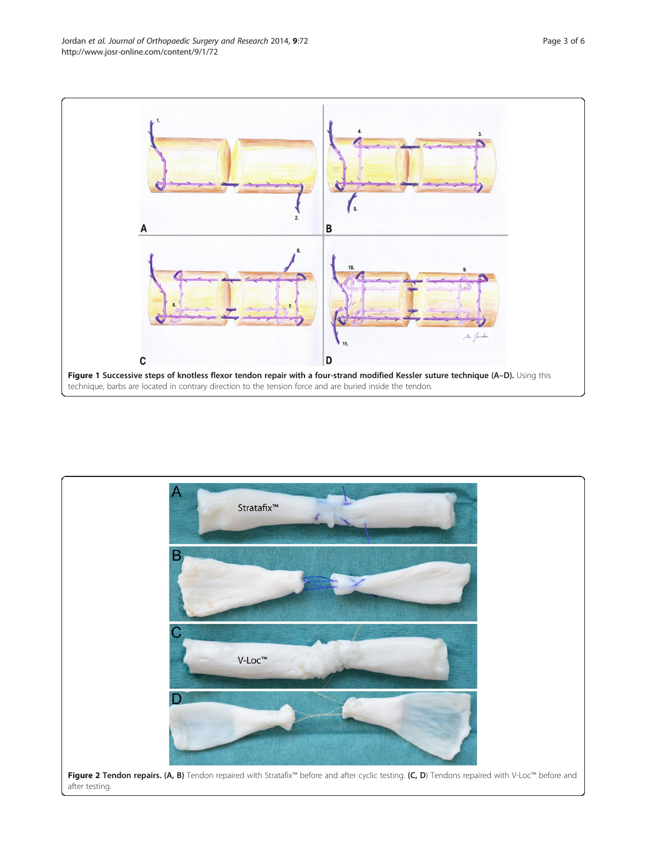<span id="page-2-0"></span>

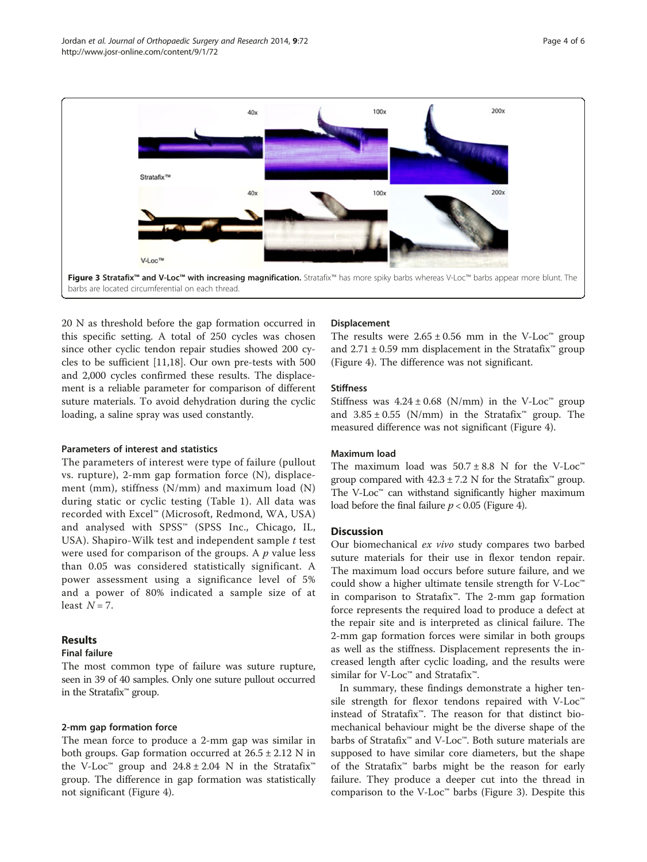<span id="page-3-0"></span>

20 N as threshold before the gap formation occurred in this specific setting. A total of 250 cycles was chosen since other cyclic tendon repair studies showed 200 cycles to be sufficient [\[11,18\]](#page-5-0). Our own pre-tests with 500 and 2,000 cycles confirmed these results. The displacement is a reliable parameter for comparison of different suture materials. To avoid dehydration during the cyclic loading, a saline spray was used constantly.

#### Parameters of interest and statistics

The parameters of interest were type of failure (pullout vs. rupture), 2-mm gap formation force (N), displacement (mm), stiffness (N/mm) and maximum load (N) during static or cyclic testing (Table [1](#page-1-0)). All data was recorded with Excel™ (Microsoft, Redmond, WA, USA) and analysed with SPSS™ (SPSS Inc., Chicago, IL, USA). Shapiro-Wilk test and independent sample  $t$  test were used for comparison of the groups. A  $p$  value less than 0.05 was considered statistically significant. A power assessment using a significance level of 5% and a power of 80% indicated a sample size of at least  $N = 7$ .

## Results

#### Final failure

The most common type of failure was suture rupture, seen in 39 of 40 samples. Only one suture pullout occurred in the Stratafix™ group.

## 2-mm gap formation force

The mean force to produce a 2-mm gap was similar in both groups. Gap formation occurred at  $26.5 \pm 2.12$  N in the V-Loc<sup>™</sup> group and  $24.8 \pm 2.04$  N in the Stratafix<sup>™</sup> group. The difference in gap formation was statistically not significant (Figure [4\)](#page-4-0).

#### Displacement

The results were  $2.65 \pm 0.56$  mm in the V-Loc<sup>™</sup> group and  $2.71 \pm 0.59$  mm displacement in the Stratafix<sup>™</sup> group (Figure [4\)](#page-4-0). The difference was not significant.

#### **Stiffness**

Stiffness was  $4.24 \pm 0.68$  (N/mm) in the V-Loc<sup>™</sup> group and  $3.85 \pm 0.55$  (N/mm) in the Stratafix<sup>™</sup> group. The measured difference was not significant (Figure [4\)](#page-4-0).

#### Maximum load

The maximum load was  $50.7 \pm 8.8$  N for the V-Loc<sup>™</sup> group compared with  $42.3 \pm 7.2$  N for the Stratafix<sup>™</sup> group. The V-Loc<sup>™</sup> can withstand significantly higher maximum load before the final failure  $p < 0.05$  (Figure [4](#page-4-0)).

## **Discussion**

Our biomechanical ex vivo study compares two barbed suture materials for their use in flexor tendon repair. The maximum load occurs before suture failure, and we could show a higher ultimate tensile strength for V-Loc™ in comparison to Stratafix™. The 2-mm gap formation force represents the required load to produce a defect at the repair site and is interpreted as clinical failure. The 2-mm gap formation forces were similar in both groups as well as the stiffness. Displacement represents the increased length after cyclic loading, and the results were similar for V-Loc™ and Stratafix™.

In summary, these findings demonstrate a higher tensile strength for flexor tendons repaired with V-Loc™ instead of Stratafix™. The reason for that distinct biomechanical behaviour might be the diverse shape of the barbs of Stratafix™ and V-Loc™. Both suture materials are supposed to have similar core diameters, but the shape of the Stratafix™ barbs might be the reason for early failure. They produce a deeper cut into the thread in comparison to the V-Loc™ barbs (Figure 3). Despite this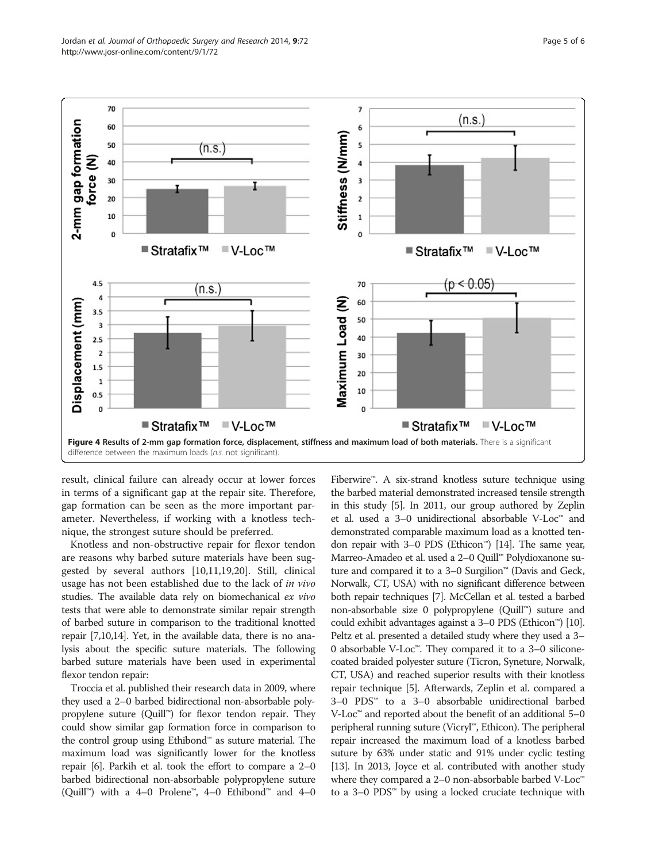<span id="page-4-0"></span>

result, clinical failure can already occur at lower forces in terms of a significant gap at the repair site. Therefore, gap formation can be seen as the more important parameter. Nevertheless, if working with a knotless technique, the strongest suture should be preferred.

Knotless and non-obstructive repair for flexor tendon are reasons why barbed suture materials have been suggested by several authors [[10](#page-5-0),[11](#page-5-0),[19](#page-5-0),[20](#page-5-0)]. Still, clinical usage has not been established due to the lack of in vivo studies. The available data rely on biomechanical ex vivo tests that were able to demonstrate similar repair strength of barbed suture in comparison to the traditional knotted repair [\[7,10,14](#page-5-0)]. Yet, in the available data, there is no analysis about the specific suture materials. The following barbed suture materials have been used in experimental flexor tendon repair:

Troccia et al. published their research data in 2009, where they used a 2–0 barbed bidirectional non-absorbable polypropylene suture (Quill™) for flexor tendon repair. They could show similar gap formation force in comparison to the control group using Ethibond™ as suture material. The maximum load was significantly lower for the knotless repair [[6](#page-5-0)]. Parkih et al. took the effort to compare a 2–0 barbed bidirectional non-absorbable polypropylene suture (Quill™) with a 4–0 Prolene™, 4–0 Ethibond™ and 4–0

Fiberwire™. A six-strand knotless suture technique using the barbed material demonstrated increased tensile strength in this study [\[5\]](#page-5-0). In 2011, our group authored by Zeplin et al. used a 3–0 unidirectional absorbable V-Loc™ and demonstrated comparable maximum load as a knotted tendon repair with 3–0 PDS (Ethicon™) [\[14\]](#page-5-0). The same year, Marreo-Amadeo et al. used a 2–0 Quill™ Polydioxanone suture and compared it to a 3–0 Surgilion™ (Davis and Geck, Norwalk, CT, USA) with no significant difference between both repair techniques [[7](#page-5-0)]. McCellan et al. tested a barbed non-absorbable size 0 polypropylene (Quill™) suture and could exhibit advantages against a 3–0 PDS (Ethicon™) [\[10](#page-5-0)]. Peltz et al. presented a detailed study where they used a 3– 0 absorbable V-Loc™. They compared it to a 3–0 siliconecoated braided polyester suture (Ticron, Syneture, Norwalk, CT, USA) and reached superior results with their knotless repair technique [[5](#page-5-0)]. Afterwards, Zeplin et al. compared a 3–0 PDS™ to a 3–0 absorbable unidirectional barbed  $V$ -Loc<sup>™</sup> and reported about the benefit of an additional 5–0 peripheral running suture (Vicryl™, Ethicon). The peripheral repair increased the maximum load of a knotless barbed suture by 63% under static and 91% under cyclic testing [[13](#page-5-0)]. In 2013, Joyce et al. contributed with another study where they compared a 2–0 non-absorbable barbed V-Loc<sup>™</sup> to a 3–0 PDS™ by using a locked cruciate technique with